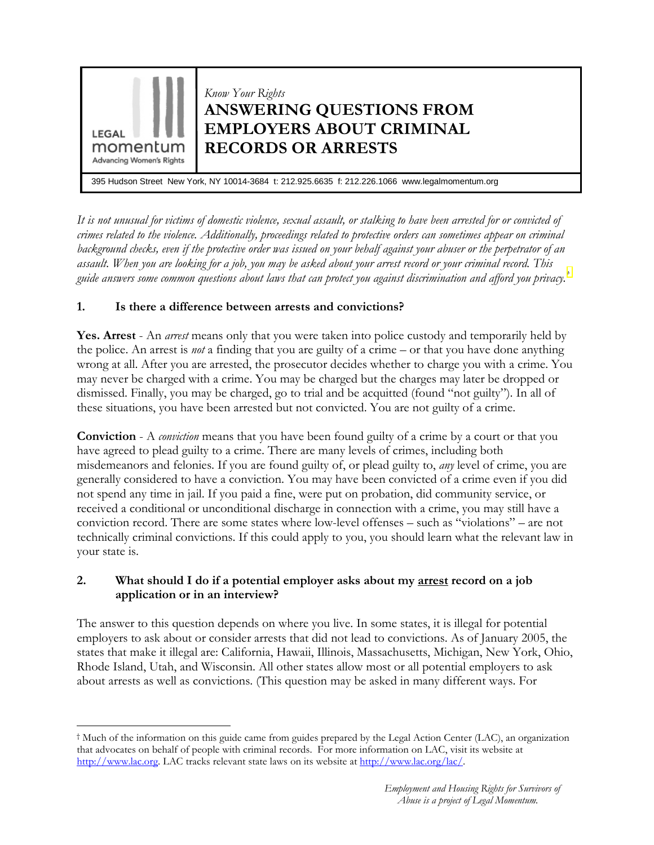

It is not unusual for victims of domestic violence, sexual assault, or stalking to have been arrested for or convicted of crimes related to the violence. Additionally, proceedings related to protective orders can sometimes appear on criminal background checks, even if the protective order was issued on your behalf against your abuser or the perpetrator of an assault. When you are looking for a job, you may be asked about your arrest record or your criminal record. This guide answers some common questions about laws that can protect you against discrimination and afford you privacy.<sup>[†](#page-0-0)</sup>

# 1. Is there a difference between arrests and convictions?

 $\overline{a}$ 

Yes. Arrest - An *arrest* means only that you were taken into police custody and temporarily held by the police. An arrest is *not* a finding that you are guilty of a crime – or that you have done anything wrong at all. After you are arrested, the prosecutor decides whether to charge you with a crime. You may never be charged with a crime. You may be charged but the charges may later be dropped or dismissed. Finally, you may be charged, go to trial and be acquitted (found "not guilty"). In all of these situations, you have been arrested but not convicted. You are not guilty of a crime.

**Conviction** - A *conviction* means that you have been found guilty of a crime by a court or that you have agreed to plead guilty to a crime. There are many levels of crimes, including both misdemeanors and felonies. If you are found guilty of, or plead guilty to, any level of crime, you are generally considered to have a conviction. You may have been convicted of a crime even if you did not spend any time in jail. If you paid a fine, were put on probation, did community service, or received a conditional or unconditional discharge in connection with a crime, you may still have a conviction record. There are some states where low-level offenses – such as "violations" – are not technically criminal convictions. If this could apply to you, you should learn what the relevant law in your state is.

### 2. What should I do if a potential employer asks about my <u>arrest</u> record on a job application or in an interview?

The answer to this question depends on where you live. In some states, it is illegal for potential employers to ask about or consider arrests that did not lead to convictions. As of January 2005, the states that make it illegal are: California, Hawaii, Illinois, Massachusetts, Michigan, New York, Ohio, Rhode Island, Utah, and Wisconsin. All other states allow most or all potential employers to ask about arrests as well as convictions. (This question may be asked in many different ways. For

<span id="page-0-0"></span><sup>†</sup> Much of the information on this guide came from guides prepared by the Legal Action Center (LAC), an organization that advocates on behalf of people with criminal records. For more information on LAC, visit its website at http://www.lac.org. LAC tracks relevant state laws on its website at http://www.lac.org/lac/.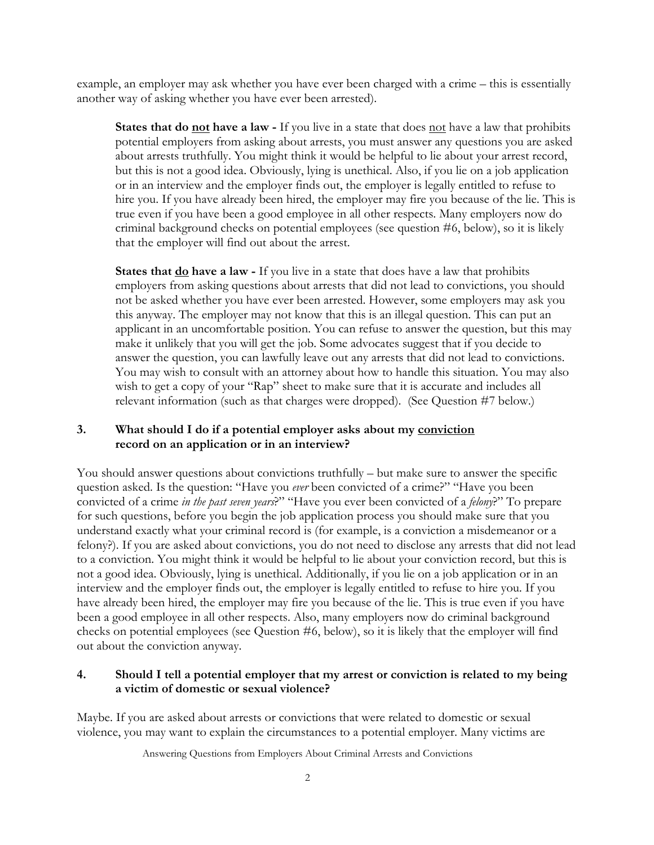example, an employer may ask whether you have ever been charged with a crime – this is essentially another way of asking whether you have ever been arrested).

**States that do not have a law -** If you live in a state that does not have a law that prohibits potential employers from asking about arrests, you must answer any questions you are asked about arrests truthfully. You might think it would be helpful to lie about your arrest record, but this is not a good idea. Obviously, lying is unethical. Also, if you lie on a job application or in an interview and the employer finds out, the employer is legally entitled to refuse to hire you. If you have already been hired, the employer may fire you because of the lie. This is true even if you have been a good employee in all other respects. Many employers now do criminal background checks on potential employees (see question #6, below), so it is likely that the employer will find out about the arrest.

States that <u>do</u> have a law - If you live in a state that does have a law that prohibits employers from asking questions about arrests that did not lead to convictions, you should not be asked whether you have ever been arrested. However, some employers may ask you this anyway. The employer may not know that this is an illegal question. This can put an applicant in an uncomfortable position. You can refuse to answer the question, but this may make it unlikely that you will get the job. Some advocates suggest that if you decide to answer the question, you can lawfully leave out any arrests that did not lead to convictions. You may wish to consult with an attorney about how to handle this situation. You may also wish to get a copy of your "Rap" sheet to make sure that it is accurate and includes all relevant information (such as that charges were dropped). (See Question #7 below.)

#### 3. What should I do if a potential employer asks about my conviction record on an application or in an interview?

You should answer questions about convictions truthfully – but make sure to answer the specific question asked. Is the question: "Have you ever been convicted of a crime?" "Have you been convicted of a crime in the past seven years?" "Have you ever been convicted of a felony?" To prepare for such questions, before you begin the job application process you should make sure that you understand exactly what your criminal record is (for example, is a conviction a misdemeanor or a felony?). If you are asked about convictions, you do not need to disclose any arrests that did not lead to a conviction. You might think it would be helpful to lie about your conviction record, but this is not a good idea. Obviously, lying is unethical. Additionally, if you lie on a job application or in an interview and the employer finds out, the employer is legally entitled to refuse to hire you. If you have already been hired, the employer may fire you because of the lie. This is true even if you have been a good employee in all other respects. Also, many employers now do criminal background checks on potential employees (see Question #6, below), so it is likely that the employer will find out about the conviction anyway.

### 4. Should I tell a potential employer that my arrest or conviction is related to my being a victim of domestic or sexual violence?

Maybe. If you are asked about arrests or convictions that were related to domestic or sexual violence, you may want to explain the circumstances to a potential employer. Many victims are

Answering Questions from Employers About Criminal Arrests and Convictions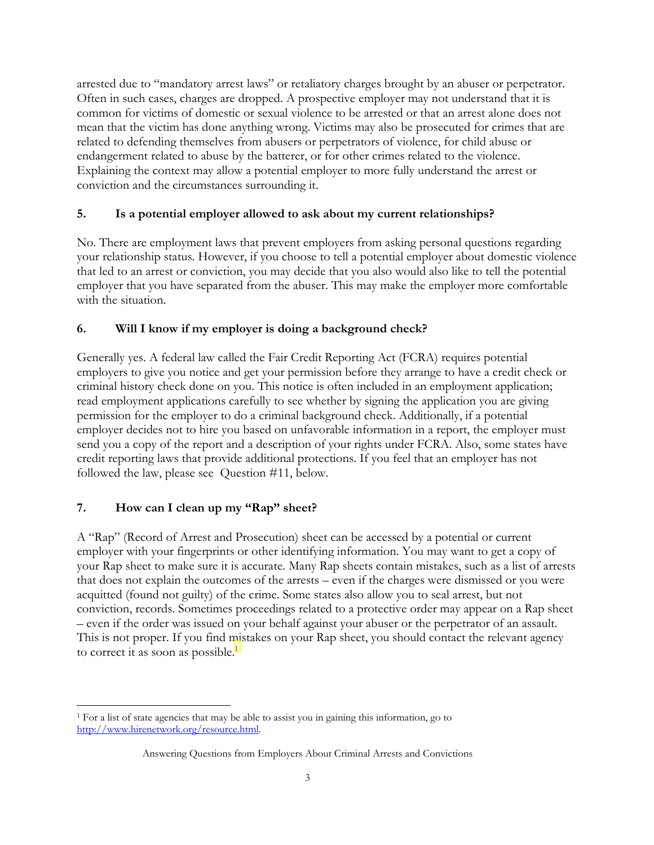arrested due to "mandatory arrest laws" or retaliatory charges brought by an abuser or perpetrator. Often in such cases, charges are dropped. A prospective employer may not understand that it is common for victims of domestic or sexual violence to be arrested or that an arrest alone does not mean that the victim has done anything wrong. Victims may also be prosecuted for crimes that are related to defending themselves from abusers or perpetrators of violence, for child abuse or endangerment related to abuse by the batterer, or for other crimes related to the violence. Explaining the context may allow a potential employer to more fully understand the arrest or conviction and the circumstances surrounding it.

### 5. Is a potential employer allowed to ask about my current relationships?

No. There are employment laws that prevent employers from asking personal questions regarding your relationship status. However, if you choose to tell a potential employer about domestic violence that led to an arrest or conviction, you may decide that you also would also like to tell the potential employer that you have separated from the abuser. This may make the employer more comfortable with the situation.

## 6. Will I know if my employer is doing a background check?

Generally yes. A federal law called the Fair Credit Reporting Act (FCRA) requires potential employers to give you notice and get your permission before they arrange to have a credit check or criminal history check done on you. This notice is often included in an employment application; read employment applications carefully to see whether by signing the application you are giving permission for the employer to do a criminal background check. Additionally, if a potential employer decides not to hire you based on unfavorable information in a report, the employer must send you a copy of the report and a description of your rights under FCRA. Also, some states have credit reporting laws that provide additional protections. If you feel that an employer has not followed the law, please see Question #11, below.

## 7. How can I clean up my "Rap" sheet?

A "Rap" (Record of Arrest and Prosecution) sheet can be accessed by a potential or current employer with your fingerprints or other identifying information. You may want to get a copy of your Rap sheet to make sure it is accurate. Many Rap sheets contain mistakes, such as a list of arrests that does not explain the outcomes of the arrests – even if the charges were dismissed or you were acquitted (found not guilty) of the crime. Some states also allow you to seal arrest, but not conviction, records. Sometimes proceedings related to a protective order may appear on a Rap sheet – even if the order was issued on your behalf against your abuser or the perpetrator of an assault. This is not proper. If you find mistakes on your Rap sheet, you should contact the relevant agency to correct it as soon as possible.<sup>[1](#page-2-0)</sup>

<span id="page-2-0"></span><sup>&</sup>lt;u>.</u> 1 For a list of state agencies that may be able to assist you in gaining this information, go to http://www.hirenetwork.org/resource.html.

Answering Questions from Employers About Criminal Arrests and Convictions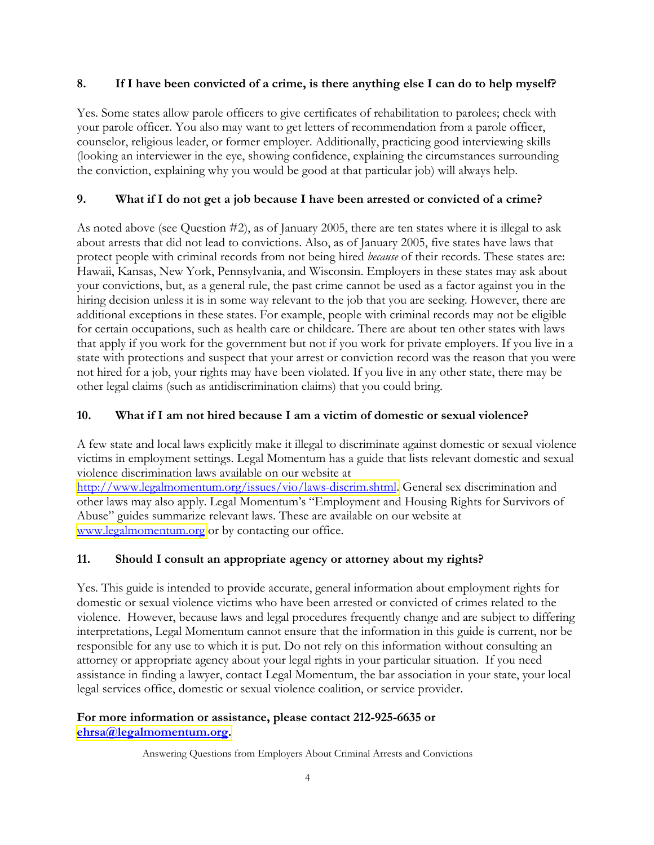### 8. If I have been convicted of a crime, is there anything else I can do to help myself?

Yes. Some states allow parole officers to give certificates of rehabilitation to parolees; check with your parole officer. You also may want to get letters of recommendation from a parole officer, counselor, religious leader, or former employer. Additionally, practicing good interviewing skills (looking an interviewer in the eye, showing confidence, explaining the circumstances surrounding the conviction, explaining why you would be good at that particular job) will always help.

## 9. What if I do not get a job because I have been arrested or convicted of a crime?

As noted above (see Question #2), as of January 2005, there are ten states where it is illegal to ask about arrests that did not lead to convictions. Also, as of January 2005, five states have laws that protect people with criminal records from not being hired because of their records. These states are: Hawaii, Kansas, New York, Pennsylvania, and Wisconsin. Employers in these states may ask about your convictions, but, as a general rule, the past crime cannot be used as a factor against you in the hiring decision unless it is in some way relevant to the job that you are seeking. However, there are additional exceptions in these states. For example, people with criminal records may not be eligible for certain occupations, such as health care or childcare. There are about ten other states with laws that apply if you work for the government but not if you work for private employers. If you live in a state with protections and suspect that your arrest or conviction record was the reason that you were not hired for a job, your rights may have been violated. If you live in any other state, there may be other legal claims (such as antidiscrimination claims) that you could bring.

### 10. What if I am not hired because I am a victim of domestic or sexual violence?

A few state and local laws explicitly make it illegal to discriminate against domestic or sexual violence victims in employment settings. Legal Momentum has a guide that lists relevant domestic and sexual violence discrimination laws available on our website at

[http://www.legalmomentum.org/issues/vio/laws-discrim.shtml.](http://www.legalmomentum.org/issues/vio/laws-discrim.shtml) General sex discrimination and other laws may also apply. Legal Momentum's "Employment and Housing Rights for Survivors of Abuse" guides summarize relevant laws. These are available on our website at [www.legalmomentum.org](http://www.legalmomentum.org/) or by contacting our office.

## 11. Should I consult an appropriate agency or attorney about my rights?

Yes. This guide is intended to provide accurate, general information about employment rights for domestic or sexual violence victims who have been arrested or convicted of crimes related to the violence. However, because laws and legal procedures frequently change and are subject to differing interpretations, Legal Momentum cannot ensure that the information in this guide is current, nor be responsible for any use to which it is put. Do not rely on this information without consulting an attorney or appropriate agency about your legal rights in your particular situation. If you need assistance in finding a lawyer, contact Legal Momentum, the bar association in your state, your local legal services office, domestic or sexual violence coalition, or service provider.

#### For more information or assistance, please contact 212-925-6635 or [ehrsa@legalmomentum.org.](mailto:ehrsa@legalmomentum.org)

Answering Questions from Employers About Criminal Arrests and Convictions